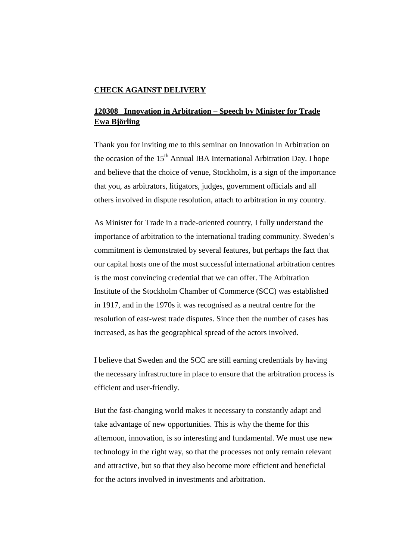## **CHECK AGAINST DELIVERY**

## **120308 Innovation in Arbitration – Speech by Minister for Trade Ewa Björling**

Thank you for inviting me to this seminar on Innovation in Arbitration on the occasion of the  $15<sup>th</sup>$  Annual IBA International Arbitration Day. I hope and believe that the choice of venue, Stockholm, is a sign of the importance that you, as arbitrators, litigators, judges, government officials and all others involved in dispute resolution, attach to arbitration in my country.

As Minister for Trade in a trade-oriented country, I fully understand the importance of arbitration to the international trading community. Sweden's commitment is demonstrated by several features, but perhaps the fact that our capital hosts one of the most successful international arbitration centres is the most convincing credential that we can offer. The Arbitration Institute of the Stockholm Chamber of Commerce (SCC) was established in 1917, and in the 1970s it was recognised as a neutral centre for the resolution of east-west trade disputes. Since then the number of cases has increased, as has the geographical spread of the actors involved.

I believe that Sweden and the SCC are still earning credentials by having the necessary infrastructure in place to ensure that the arbitration process is efficient and user-friendly.

But the fast-changing world makes it necessary to constantly adapt and take advantage of new opportunities. This is why the theme for this afternoon, innovation, is so interesting and fundamental. We must use new technology in the right way, so that the processes not only remain relevant and attractive, but so that they also become more efficient and beneficial for the actors involved in investments and arbitration.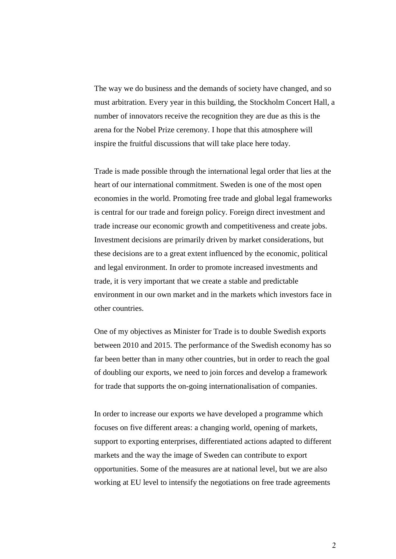The way we do business and the demands of society have changed, and so must arbitration. Every year in this building, the Stockholm Concert Hall, a number of innovators receive the recognition they are due as this is the arena for the Nobel Prize ceremony. I hope that this atmosphere will inspire the fruitful discussions that will take place here today.

Trade is made possible through the international legal order that lies at the heart of our international commitment. Sweden is one of the most open economies in the world. Promoting free trade and global legal frameworks is central for our trade and foreign policy. Foreign direct investment and trade increase our economic growth and competitiveness and create jobs. Investment decisions are primarily driven by market considerations, but these decisions are to a great extent influenced by the economic, political and legal environment. In order to promote increased investments and trade, it is very important that we create a stable and predictable environment in our own market and in the markets which investors face in other countries.

One of my objectives as Minister for Trade is to double Swedish exports between 2010 and 2015. The performance of the Swedish economy has so far been better than in many other countries, but in order to reach the goal of doubling our exports, we need to join forces and develop a framework for trade that supports the on-going internationalisation of companies.

In order to increase our exports we have developed a programme which focuses on five different areas: a changing world, opening of markets, support to exporting enterprises, differentiated actions adapted to different markets and the way the image of Sweden can contribute to export opportunities. Some of the measures are at national level, but we are also working at EU level to intensify the negotiations on free trade agreements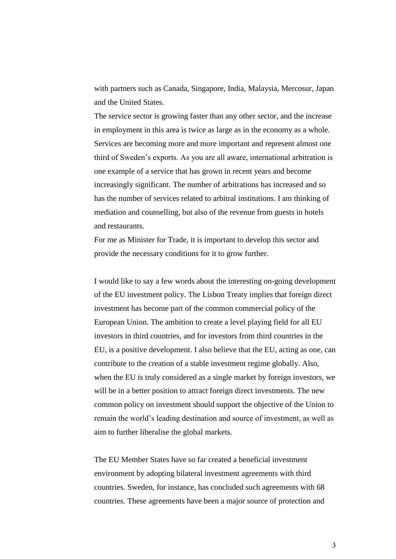with partners such as Canada, Singapore, India, Malaysia, Mercosur, Japan and the United States.

The service sector is growing faster than any other sector, and the increase in employment in this area is twice as large as in the economy as a whole. Services are becoming more and more important and represent almost one third of Sweden's exports. As you are all aware, international arbitration is one example of a service that has grown in recent years and become increasingly significant. The number of arbitrations has increased and so has the number of services related to arbitral institutions. I am thinking of mediation and counselling, but also of the revenue from guests in hotels and restaurants.

For me as Minister for Trade, it is important to develop this sector and provide the necessary conditions for it to grow further.

I would like to say a few words about the interesting on-going development of the EU investment policy. The Lisbon Treaty implies that foreign direct investment has become part of the common commercial policy of the European Union. The ambition to create a level playing field for all EU investors in third countries, and for investors from third countries in the EU, is a positive development. I also believe that the EU, acting as one, can contribute to the creation of a stable investment regime globally. Also, when the EU is truly considered as a single market by foreign investors, we will be in a better position to attract foreign direct investments. The new common policy on investment should support the objective of the Union to remain the world's leading destination and source of investment, as well as aim to further liberalise the global markets.

The EU Member States have so far created a beneficial investment environment by adopting bilateral investment agreements with third countries. Sweden, for instance, has concluded such agreements with 68 countries. These agreements have been a major source of protection and

3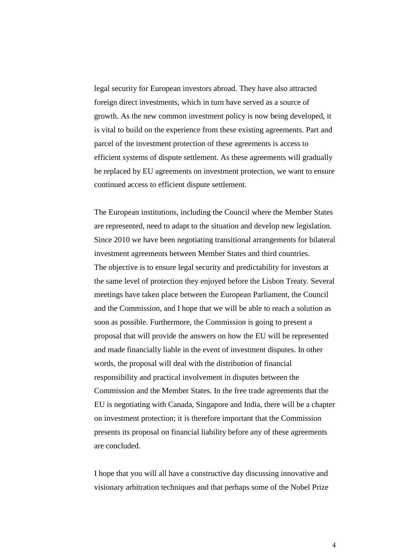legal security for European investors abroad. They have also attracted foreign direct investments, which in turn have served as a source of growth. As the new common investment policy is now being developed, it is vital to build on the experience from these existing agreements. Part and parcel of the investment protection of these agreements is access to efficient systems of dispute settlement. As these agreements will gradually be replaced by EU agreements on investment protection, we want to ensure continued access to efficient dispute settlement.

The European institutions, including the Council where the Member States are represented, need to adapt to the situation and develop new legislation. Since 2010 we have been negotiating transitional arrangements for bilateral investment agreements between Member States and third countries. The objective is to ensure legal security and predictability for investors at the same level of protection they enjoyed before the Lisbon Treaty. Several meetings have taken place between the European Parliament, the Council and the Commission, and I hope that we will be able to reach a solution as soon as possible. Furthermore, the Commission is going to present a proposal that will provide the answers on how the EU will be represented and made financially liable in the event of investment disputes. In other words, the proposal will deal with the distribution of financial responsibility and practical involvement in disputes between the Commission and the Member States. In the free trade agreements that the EU is negotiating with Canada, Singapore and India, there will be a chapter on investment protection; it is therefore important that the Commission presents its proposal on financial liability before any of these agreements are concluded.

I hope that you will all have a constructive day discussing innovative and visionary arbitration techniques and that perhaps some of the Nobel Prize

4